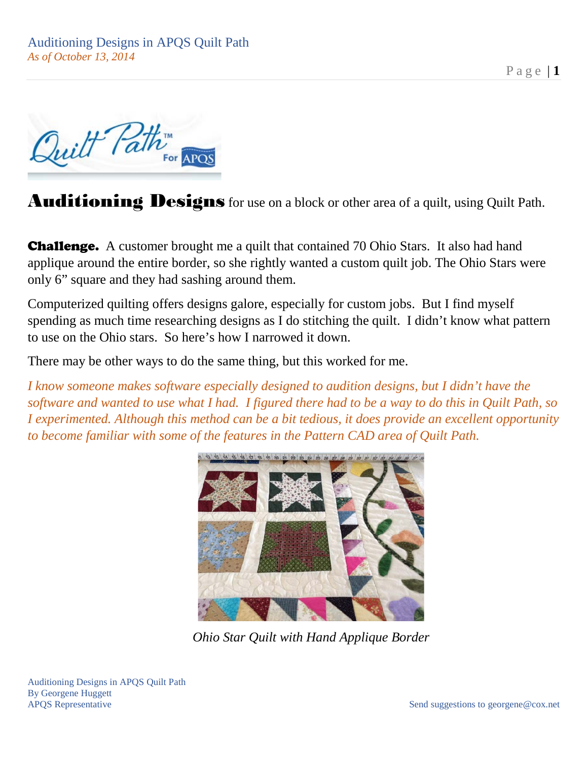Quilt Path For APOS

Auditioning Designs for use on a block or other area of a quilt, using Quilt Path.

**Challenge.** A customer brought me a quilt that contained 70 Ohio Stars. It also had hand applique around the entire border, so she rightly wanted a custom quilt job. The Ohio Stars were only 6" square and they had sashing around them.

Computerized quilting offers designs galore, especially for custom jobs. But I find myself spending as much time researching designs as I do stitching the quilt. I didn't know what pattern to use on the Ohio stars. So here's how I narrowed it down.

There may be other ways to do the same thing, but this worked for me.

*I know someone makes software especially designed to audition designs, but I didn't have the software and wanted to use what I had. I figured there had to be a way to do this in Quilt Path, so I experimented. Although this method can be a bit tedious, it does provide an excellent opportunity to become familiar with some of the features in the Pattern CAD area of Quilt Path.*



*Ohio Star Quilt with Hand Applique Border*

Auditioning Designs in APQS Quilt Path By Georgene Huggett APQS Representative Send suggestions to georgene@cox.net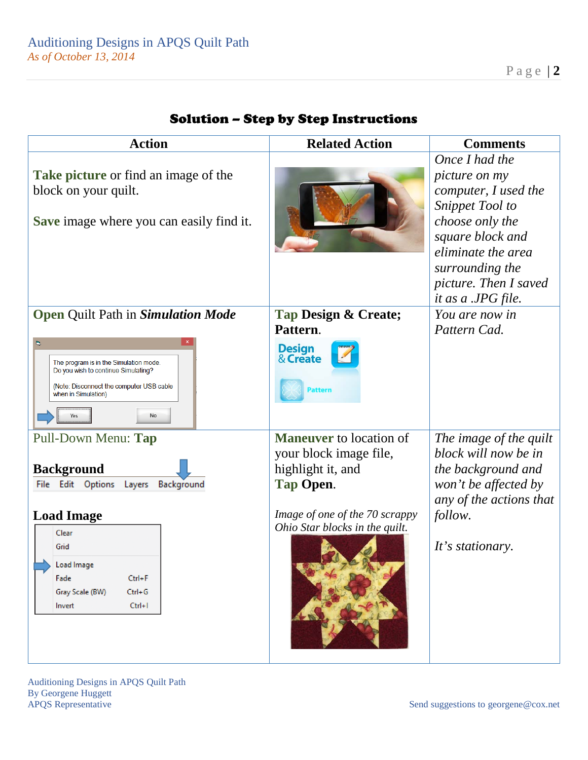| <b>Action</b>                                                                                                                                                                                                         | <b>Related Action</b>                                                                                                                                          | <b>Comments</b>                                                                                                                                                                                                         |
|-----------------------------------------------------------------------------------------------------------------------------------------------------------------------------------------------------------------------|----------------------------------------------------------------------------------------------------------------------------------------------------------------|-------------------------------------------------------------------------------------------------------------------------------------------------------------------------------------------------------------------------|
| Take picture or find an image of the<br>block on your quilt.<br><b>Save</b> image where you can easily find it.                                                                                                       |                                                                                                                                                                | Once I had the<br><i>picture on my</i><br>computer, I used the<br><b>Snippet Tool to</b><br>choose only the<br>square block and<br>eliminate the area<br>surrounding the<br>picture. Then I saved<br>it as a .JPG file. |
| <b>Open Quilt Path in Simulation Mode</b><br>$\Box$<br>The program is in the Simulation mode.<br>Do you wish to continue Simulating?<br>(Note: Disconnect the computer USB cable<br>when in Simulation)<br>No<br>Yes  | Tap Design & Create;<br>Pattern.<br><b>Design</b><br>& Create<br><b>Pattern</b>                                                                                | You are now in<br>Pattern Cad.                                                                                                                                                                                          |
| Pull-Down Menu: Tap<br><b>Background</b><br>File Edit Options Layers<br>Background<br><b>Load Image</b><br>Clear<br>Grid<br>Load Image<br>Fade<br>$Ctrl + F$<br>Gray Scale (BW)<br>$Ctrl + G$<br>$Ctrl + I$<br>Invert | <b>Maneuver</b> to location of<br>your block image file,<br>highlight it, and<br>Tap Open.<br>Image of one of the 70 scrappy<br>Ohio Star blocks in the quilt. | The image of the quilt<br>block will now be in<br>the background and<br>won't be affected by<br>any of the actions that<br>follow.<br>It's stationary.                                                                  |

## Solution – Step by Step Instructions

Auditioning Designs in APQS Quilt Path By Georgene Huggett<br>APQS Representative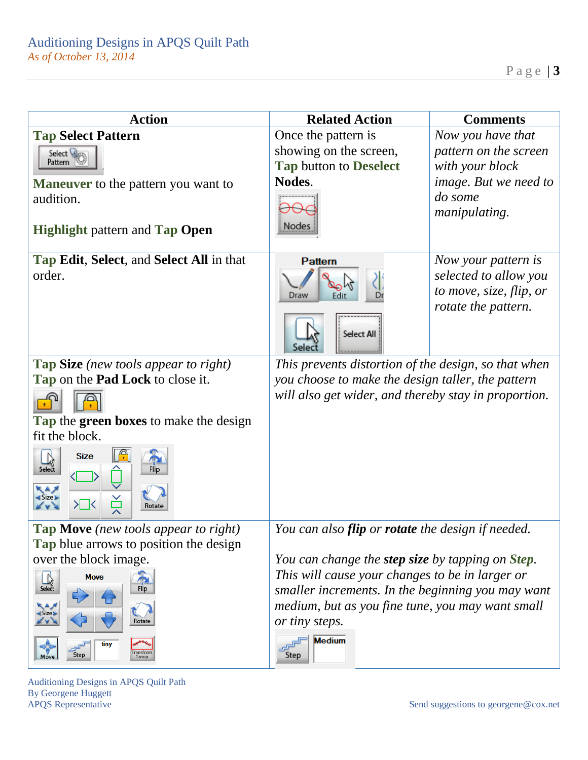| <b>Action</b>                                                                                        | <b>Related Action</b>                                              | <b>Comments</b>                                                                                |
|------------------------------------------------------------------------------------------------------|--------------------------------------------------------------------|------------------------------------------------------------------------------------------------|
| <b>Tap Select Pattern</b>                                                                            | Once the pattern is                                                | Now you have that                                                                              |
| Select Wago                                                                                          | showing on the screen,                                             | pattern on the screen                                                                          |
| Pattern &                                                                                            | Tap button to Deselect                                             | with your block                                                                                |
| <b>Maneuver</b> to the pattern you want to                                                           | Nodes.                                                             | <i>image.</i> But we need to                                                                   |
| audition.<br><b>Highlight pattern and Tap Open</b>                                                   | Nodes                                                              | do some<br>manipulating.                                                                       |
| <b>Tap Edit, Select, and Select All in that</b><br>order.                                            | <b>Pattern</b><br>Draw<br>Edit<br>Select All<br>Selec              | Now your pattern is<br>selected to allow you<br>to move, size, flip, or<br>rotate the pattern. |
| <b>Tap Size</b> (new tools appear to right)                                                          | This prevents distortion of the design, so that when               |                                                                                                |
| Tap on the <b>Pad Lock</b> to close it.                                                              | you choose to make the design taller, the pattern                  |                                                                                                |
|                                                                                                      | will also get wider, and thereby stay in proportion.               |                                                                                                |
| Tap the green boxes to make the design                                                               |                                                                    |                                                                                                |
| fit the block.                                                                                       |                                                                    |                                                                                                |
| <b>Size</b><br>Select<br>d Size »<br>Ř<br>≻⊟<<br>Rotate                                              |                                                                    |                                                                                                |
| <b>Tap Move</b> (new tools appear to right)                                                          | You can also flip or rotate the design if needed.                  |                                                                                                |
| <b>Tap</b> blue arrows to position the design                                                        |                                                                    |                                                                                                |
| over the block image.                                                                                | You can change the <b>step size</b> by tapping on <b>Step</b> .    |                                                                                                |
| $\begin{array}{c}\n\downarrow \\ \downarrow \\ \downarrow \\ \downarrow\n\end{array}$<br><b>Move</b> | This will cause your changes to be in larger or                    |                                                                                                |
| Flip                                                                                                 | smaller increments. In the beginning you may want                  |                                                                                                |
| $\left\langle \mathbf{A}\right\rangle$<br>Size<br>Rotate                                             | medium, but as you fine tune, you may want small<br>or tiny steps. |                                                                                                |
| tiny<br>ransform<br>Step<br>Move<br>Group                                                            | <b>Medium</b><br>Step                                              |                                                                                                |

Auditioning Designs in APQS Quilt Path By Georgene Huggett<br>APQS Representative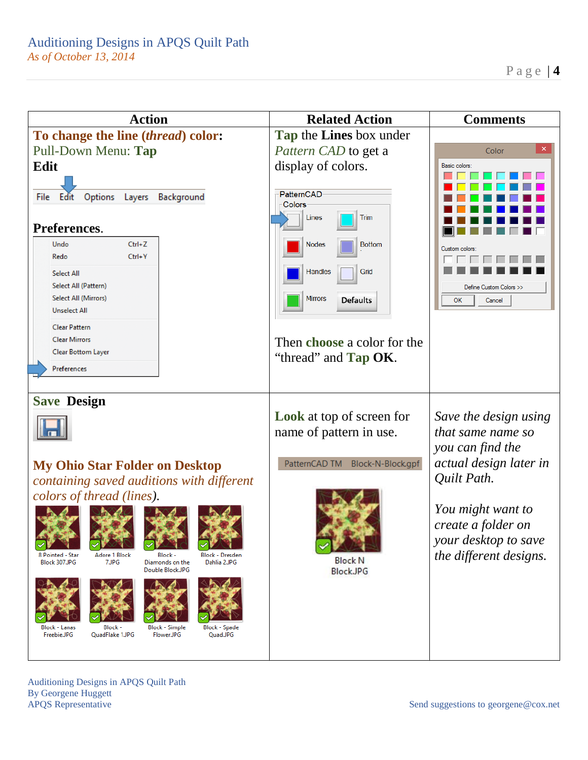

Auditioning Designs in APQS Quilt Path By Georgene Huggett APQS Representative Send suggestions to georgene@cox.net